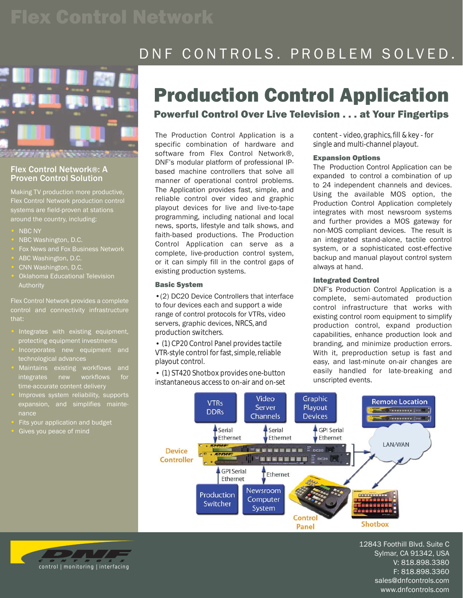## Flex Control Network

### DNF CONTROLS. PROBLEM SOLVED.



#### Flex Control Network®: A Proven Control Solution

Making TV production more productive, Flex Control Network production control systems are field-proven at stations around the country, including:

- **NBC NY**
- NBC Washington, D.C.
- Fox News and Fox Business Network
- ABC Washington, D.C.
- CNN Washington, D.C.
- Oklahoma Educational Television Authority

Flex Control Network provides a complete that:

- Integrates with existing equipment, protecting equipment investments • Incorporates new equipment and technological advances
- Maintains existing workflows and integrates new workflows for time-accurate content delivery
- Improves system reliability, supports expansion, and simplifies maintenance
- Fits your application and budget
- Gives you peace of mind

# Production Control Application

### Powerful Control Over Live Television . . . at Your Fingertips

The Production Control Application is a specific combination of hardware and software from Flex Control Network®, DNF's modular platform of professional IPbased machine controllers that solve all manner of operational control problems. The Application provides fast, simple, and reliable control over video and graphic playout devices for live and live-to-tape programming, including national and local news, sports, lifestyle and talk shows, and faith-based productions. The Production Control Application can serve as a complete, live-production control system, or it can simply fill in the control gaps of existing production systems.

#### Basic System

•(2) DC20 Device Controllers that interface to four devices each and support a wide range of control protocols for VTRs, video servers, graphic devices, NRCS, and production switchers.

• (1) CP20 Control Panel provides tactile VTR-style control for fast, simple, reliable playout control.

• (1) ST420 Shotbox provides one-button instantaneous access to on-air and on-set content - video, graphics, fill & key - for single and multi-channel playout.

#### Expansion Options

The Production Control Application can be expanded to control a combination of up to 24 independent channels and devices. Using the available MOS option, the Production Control Application completely integrates with most newsroom systems and further provides a MOS gateway for non-MOS compliant devices. The result is an integrated stand-alone, tactile control system, or a sophisticated cost-effective backup and manual playout control system always at hand.

#### Integrated Control

DNF's Production Control Application is a complete, semi-automated production control infrastructure that works with existing control room equipment to simplify production control, expand production capabilities, enhance production look and branding, and minimize production errors. With it, preproduction setup is fast and easy, and last-minute on-air changes are easily handled for late-breaking and unscripted events.





12843 Foothill Blvd. Suite C Sylmar, CA 91342, USA V: 818.898.3380 F: 818.898.3360 sales@dnfcontrols.com www.dnfcontrols.com